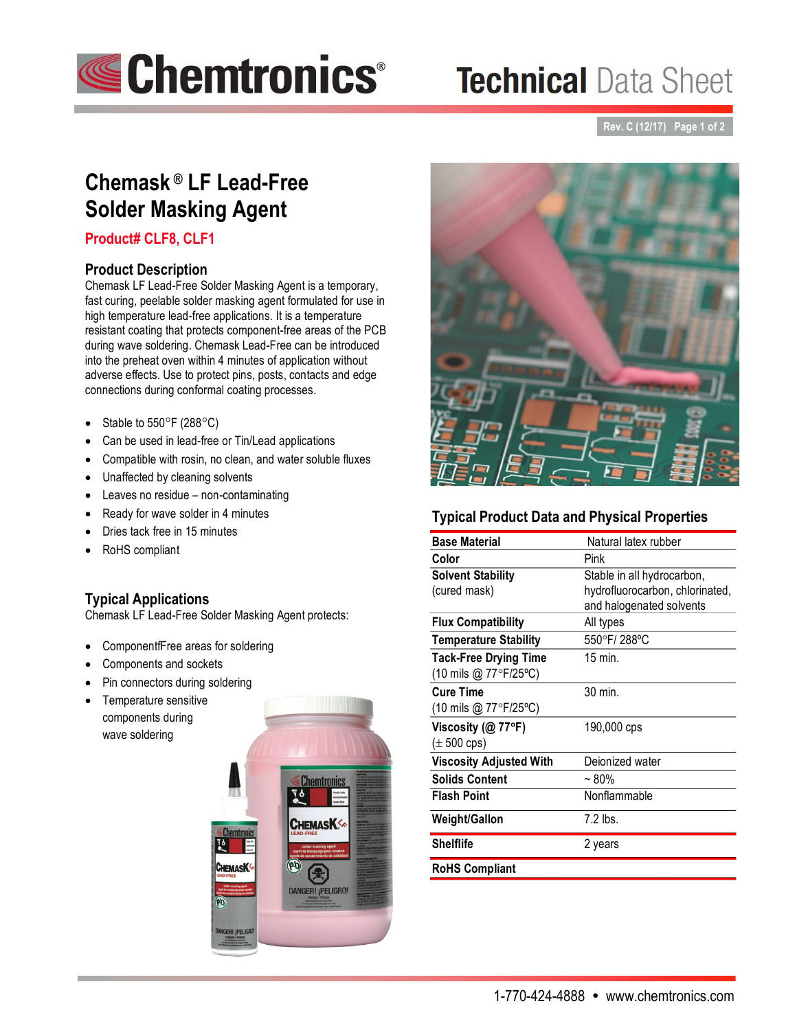

# **Technical Data Sheet**

**Rev. C (12/17) Page 1 of 2**

# **Chemask ® LF Lead-Free Solder Masking Agent**

# **Product# CLF8, CLF1**

#### **Product Description**

Chemask LF Lead-Free Solder Masking Agent is a temporary, fast curing, peelable solder masking agent formulated for use in high temperature lead-free applications. It is a temperature resistant coating that protects component-free areas of the PCB during wave soldering. Chemask Lead-Free can be introduced into the preheat oven within 4 minutes of application without adverse effects. Use to protect pins, posts, contacts and edge connections during conformal coating processes.

- Stable to  $550^{\circ}$ F (288 $^{\circ}$ C)
- Can be used in lead-free or Tin/Lead applications
- Compatible with rosin, no clean, and water soluble fluxes
- Unaffected by cleaning solvents
- Leaves no residue non-contaminating
- Ready for wave solder in 4 minutes
- Dries tack free in 15 minutes
- RoHS compliant

## **Typical Applications**

Chemask LF Lead-Free Solder Masking Agent protects:

- ComponentfFree areas for soldering
- Components and sockets
- Pin connectors during soldering
- Temperature sensitive components during wave soldering





# **Typical Product Data and Physical Properties**

| <b>Base Material</b>                           | Natural latex rubber            |
|------------------------------------------------|---------------------------------|
| Color                                          | Pink                            |
| <b>Solvent Stability</b>                       | Stable in all hydrocarbon,      |
| (cured mask)                                   | hydrofluorocarbon, chlorinated, |
|                                                | and halogenated solvents        |
| <b>Flux Compatibility</b>                      | All types                       |
| <b>Temperature Stability</b>                   | 550°F/288°C                     |
| <b>Tack-Free Drying Time</b>                   | $15$ min.                       |
| (10 mils @ 77°F/25°C)                          |                                 |
| <b>Cure Time</b>                               | 30 min.                         |
| $(10 \text{ miles} @ 77^{\circ}F/25^{\circ}C)$ |                                 |
| Viscosity ( $@$ 77°F)                          | 190,000 cps                     |
| $(\pm 500 \text{cps})$                         |                                 |
| <b>Viscosity Adjusted With</b>                 | Deionized water                 |
| <b>Solids Content</b>                          | $~1$ – 80%                      |
| <b>Flash Point</b>                             | Nonflammable                    |
| Weight/Gallon                                  | $7.2$ lbs.                      |
| <b>Shelflife</b>                               | 2 years                         |
| <b>RoHS Compliant</b>                          |                                 |